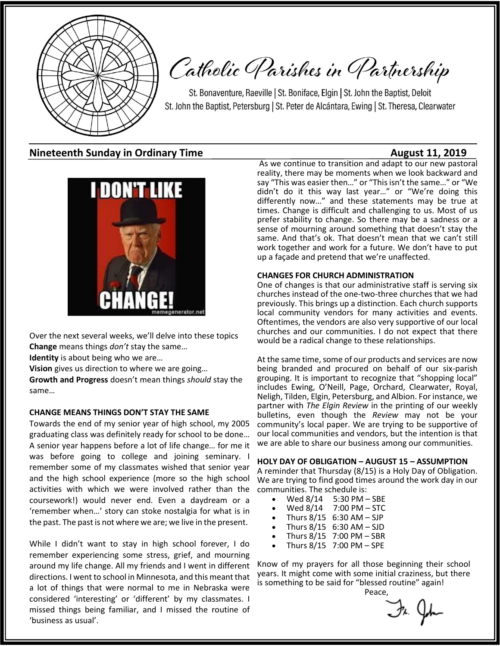

# Catholic Parishes in Partnership

St. Bonaventure, Raeville | St. Boniface, Elgin | St. John the Baptist, Deloit St. John the Baptist, Petersburg | St. Peter de Alcántara, Ewing | St. Theresa, Clearwater

### **Nineteenth Sunday in Ordinary Time**  August 11, 2019



Over the next several weeks, we'll delve into these topics **Change** means things *don't* stay the same…

**Identity** is about being who we are…

**Vision** gives us direction to where we are going…

**Growth and Progress** doesn't mean things *should* stay the same…

#### **CHANGE MEANS THINGS DON'T STAY THE SAME**

Towards the end of my senior year of high school, my 2005 graduating class was definitely ready for school to be done… A senior year happens before a lot of life change… for me it was before going to college and joining seminary. I remember some of my classmates wished that senior year and the high school experience (more so the high school activities with which we were involved rather than the coursework!) would never end. Even a daydream or a 'remember when…' story can stoke nostalgia for what is in the past. The past is not where we are; we live in the present.

While I didn't want to stay in high school forever, I do remember experiencing some stress, grief, and mourning around my life change. All my friends and I went in different directions. I went to school in Minnesota, and this meant that a lot of things that were normal to me in Nebraska were considered 'interesting' or 'different' by my classmates. I missed things being familiar, and I missed the routine of 'business as usual'.

As we continue to transition and adapt to our new pastoral reality, there may be moments when we look backward and say "This was easier then…" or "This isn't the same…" or "We didn't do it this way last year…" or "We're doing this differently now…" and these statements may be true at times. Change is difficult and challenging to us. Most of us prefer stability to change. So there may be a sadness or a sense of mourning around something that doesn't stay the same. And that's ok. That doesn't mean that we can't still work together and work for a future. We don't have to put up a façade and pretend that we're unaffected.

#### **CHANGES FOR CHURCH ADMINISTRATION**

One of changes is that our administrative staff is serving six churches instead of the one-two-three churches that we had previously. This brings up a distinction. Each church supports local community vendors for many activities and events. Oftentimes, the vendors are also very supportive of our local churches and our communities. I do not expect that there would be a radical change to these relationships.

At the same time, some of our products and services are now being branded and procured on behalf of our six-parish grouping. It is important to recognize that "shopping local" includes Ewing, O'Neill, Page, Orchard, Clearwater, Royal, Neligh, Tilden, Elgin, Petersburg, and Albion. For instance, we partner with *The Elgin Review* in the printing of our weekly bulletins, even though the *Review* may not be your community's local paper. We are trying to be supportive of our local communities and vendors, but the intention is that we are able to share our business among our communities.

#### **HOLY DAY OF OBLIGATION – AUGUST 15 – ASSUMPTION**

A reminder that Thursday (8/15) is a Holy Day of Obligation. We are trying to find good times around the work day in our communities. The schedule is:

- Wed 8/14 5:30 PM SBE<br>Wed 8/14 7:00 PM STC
- $7:00$  PM  $-$  STC
- Thurs  $8/15$  6:30 AM SJP
- Thurs  $8/15$  6:30 AM SJD
- Thurs 8/15 7:00 PM SBR
- Thurs 8/15 7:00 PM SPE

Know of my prayers for all those beginning their school years. It might come with some initial craziness, but there is something to be said for "blessed routine" again!

Peace, 

Fr. John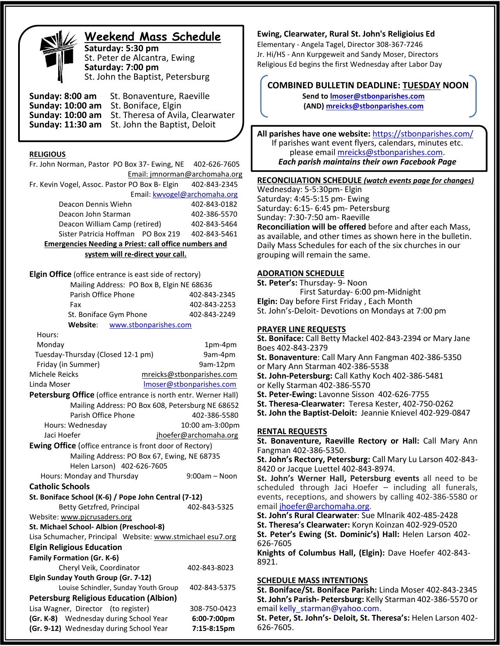

### **Weekend Mass Schedule**

**Saturday: 5:30 pm** St. Peter de Alcantra, Ewing **Saturday: 7:00 pm** St. John the Baptist, Petersburg

**Sunday: 8:00 am** St. Bonaventure, Raeville **Sunday: 10:00 am** St. Boniface, Elgin Sunday: 10:00 am St. Theresa of Avil St. Theresa of Avila, Clearwater **Sunday: 11:30 am** St. John the Baptist, Deloit

#### **RELIGIOUS**

Fr. John Norman, Pastor PO Box 37- Ewing, NE 402-626-7605 Email: jmnorman@archomaha.org Fr. Kevin Vogel, Assoc. Pastor PO Box B- Elgin 402-843-2345 Email: [kwvogel@archomaha.org](mailto:kwvogel@archomaha.org) Deacon Dennis Wiehn 402-843-0182 Deacon John Starman 402-386-5570 Deacon William Camp (retired) 402-843-5464 Sister Patricia Hoffman PO Box 219 402-843-5461 **Emergencies Needing a Priest: call office numbers and system will re-direct your call. Elgin Office** (office entrance is east side of rectory) Mailing Address: PO Box B, Elgin NE 68636 Parish Office Phone 402-843-2345 Fax 402-843-2253 St. Boniface Gym Phone 402-843-2249  **Website**: [www.stbonparishes.com](http://www.stbonparishes.com/) Hours: Monday 1pm-4pm Tuesday-Thursday (Closed 12-1 pm) 9am-4pm Friday (in Summer) 9am-12pm Michele Reicks [mreicks@stbonparishes.com](mailto:mreicks@stbonparishes.com) Linda Moser [lmoser@stbonparishes.com](mailto:lmoser@stbonparishes.com) **Petersburg Office** (office entrance is north entr. Werner Hall) Mailing Address: PO Box 608, Petersburg NE 68652 Parish Office Phone 402-386-5580 Hours: Wednesday 10:00 am-3:00pm Jaci Hoefer in the intermediate property in the intervalse property in the set of the intervalse property in the intervalse property in the intervalse property in the intervalse property in the intervalse property in the i **Ewing Office** (office entrance is front door of Rectory) Mailing Address: PO Box 67, Ewing, NE 68735 Helen Larson) 402-626-7605 Hours: Monday and Thursday 19:00am – Noon **Catholic Schools St. Boniface School (K-6) / Pope John Central (7-12)** Betty Getzfred, Principal 402-843-5325 Website: [www.pjcrusaders.org](http://www.pjcrusaders.org/) **St. Michael School- Albion (Preschool-8)** Lisa Schumacher, Principal Website: www.stmichael esu7.org **Elgin Religious Education Family Formation (Gr. K-6)** Cheryl Veik, Coordinator 402-843-8023 **Elgin Sunday Youth Group (Gr. 7-12)** Louise Schindler, Sunday Youth Group 402-843-5375 **Petersburg Religious Education (Albion)**  Lisa Wagner, Director (to register) 308-750-0423 **(Gr. K-8)** Wednesday during School Year **6:00-7:00pm (Gr. 9-12)** Wednesday during School Year **7:15-8:15pm**

#### **Ewing, Clearwater, Rural St. John's Religioius Ed**

Elementary - Angela Tagel, Director 308-367-7246 Jr. Hi/HS - Ann Kurpgeweit and Sandy Moser, Directors Religious Ed begins the first Wednesday after Labor Day

### **COMBINED BULLETIN DEADLINE: TUESDAY NOON**

**Send t[o lmoser@stbonparishes.com](mailto:lmoser@stbonparishes.com) (AND) [mreicks@stbonparishes.com](mailto:mreicks@stbonparishes.com)**

**All parishes have one website:** <https://stbonparishes.com/> If parishes want event flyers, calendars, minutes etc. please email [mreicks@stbonparishes.com.](mailto:mreicks@stbonparishes.com) *Each parish maintains their own Facebook Page*

#### **RECONCILIATION SCHEDULE** *(watch events page for changes)*

Wednesday: 5-5:30pm- Elgin Saturday: 4:45-5:15 pm- Ewing Saturday: 6:15- 6:45 pm- Petersburg Sunday: 7:30-7:50 am- Raeville **Reconciliation will be offered** before and after each Mass, as available, and other times as shown here in the bulletin. Daily Mass Schedules for each of the six churches in our grouping will remain the same.

#### **ADORATION SCHEDULE**

**St. Peter's:** Thursday- 9- Noon First Saturday- 6:00 pm-Midnight **Elgin:** Day before First Friday , Each Month St. John's-Deloit- Devotions on Mondays at 7:00 pm

#### **PRAYER LINE REQUESTS**

**St. Boniface:** Call Betty Mackel 402-843-2394 or Mary Jane Boes 402-843-2379

**St. Bonaventure**: Call Mary Ann Fangman 402-386-5350

or Mary Ann Starman 402-386-5538 **St. John-Petersburg:** Call Kathy Koch 402-386-5481

or Kelly Starman 402-386-5570

**St. Peter-Ewing:** Lavonne Sisson 402-626-7755

**St. Theresa-Clearwater:** Teresa Kester, 402-750-0262

**St. John the Baptist-Deloit:** Jeannie Knievel 402-929-0847

#### **RENTAL REQUESTS**

**St. Bonaventure, Raeville Rectory or Hall:** Call Mary Ann Fangman 402-386-5350.

**St. John's Rectory, Petersburg:** Call Mary Lu Larson 402-843- 8420 or Jacque Luettel 402-843-8974.

**St. John's Werner Hall, Petersburg events** all need to be scheduled through Jaci Hoefer – including all funerals, events, receptions, and showers by calling 402-386-5580 or email [jhoefer@archomaha.org.](mailto:jhoefer@archomaha.org)

**St. John's Rural Clearwater**: Sue Mlnarik 402-485-2428

**St. Theresa's Clearwater:** Koryn Koinzan 402-929-0520

**St. Peter's Ewing (St. Dominic's) Hall:** Helen Larson 402- 626-7605

**Knights of Columbus Hall, (Elgin):** Dave Hoefer 402-843- 8921.

#### **SCHEDULE MASS INTENTIONS**

**St. Boniface/St. Boniface Parish:** Linda Moser 402-843-2345 **St. John's Parish- Petersburg:** Kelly Starman 402-386-5570 or email kelly starman@yahoo.com.

**St. Peter, St. John's- Deloit, St. Theresa's:** Helen Larson 402- 626-7605.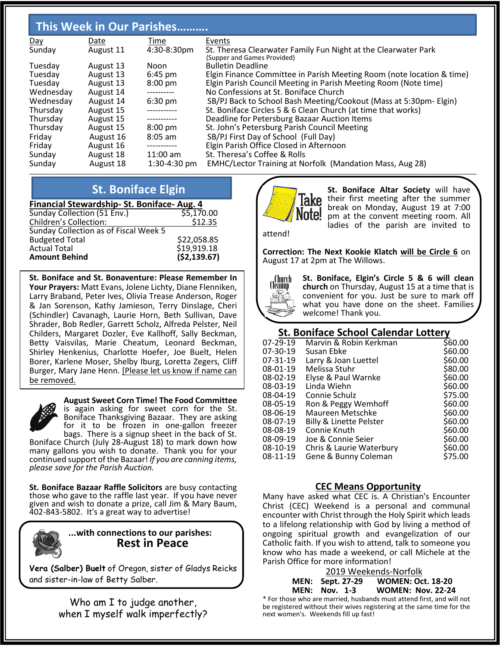### **This Week in Our Parishes……….**

| Day       | Date      | Time              | Events                                                                |
|-----------|-----------|-------------------|-----------------------------------------------------------------------|
| Sunday    | August 11 | 4:30-8:30pm       | St. Theresa Clearwater Family Fun Night at the Clearwater Park        |
|           |           |                   | (Supper and Games Provided)                                           |
| Tuesday   | August 13 | Noon              | <b>Bulletin Deadline</b>                                              |
| Tuesday   | August 13 | $6:45$ pm         | Elgin Finance Committee in Parish Meeting Room (note location & time) |
| Tuesday   | August 13 | $8:00 \text{ pm}$ | Elgin Parish Council Meeting in Parish Meeting Room (Note time)       |
| Wednesday | August 14 | ----------        | No Confessions at St. Boniface Church                                 |
| Wednesday | August 14 | $6:30 \text{ pm}$ | SB/PJ Back to School Bash Meeting/Cookout (Mass at 5:30pm- Elgin)     |
| Thursday  | August 15 | ------------      | St. Boniface Circles 5 & 6 Clean Church (at time that works)          |
| Thursday  | August 15 |                   | Deadline for Petersburg Bazaar Auction Items                          |
| Thursday  | August 15 | $8:00 \text{ pm}$ | St. John's Petersburg Parish Council Meeting                          |
| Friday    | August 16 | $8:05$ am         | SB/PJ First Day of School (Full Day)                                  |
| Friday    | August 16 | -----------       | Elgin Parish Office Closed in Afternoon                               |
| Sunday    | August 18 | $11:00$ am        | St. Theresa's Coffee & Rolls                                          |
| Sunday    | August 18 | $1:30-4:30$ pm    | <b>EMHC/Lector Training at Norfolk (Mandation Mass, Aug 28)</b>       |

### **St. Boniface Elgin**

| <b>St. DOMIGLE EIGHT</b>                  |              |  |  |  |  |
|-------------------------------------------|--------------|--|--|--|--|
| Financial Stewardship-St. Boniface-Aug. 4 |              |  |  |  |  |
| Sunday Collection (51 Env.)               | \$5,170.00   |  |  |  |  |
| <b>Children's Collection:</b>             | \$12.35      |  |  |  |  |
| Sunday Collection as of Fiscal Week 5     |              |  |  |  |  |
| <b>Budgeted Total</b>                     | \$22,058.85  |  |  |  |  |
| <b>Actual Total</b>                       | \$19,919.18  |  |  |  |  |
| <b>Amount Behind</b>                      | (\$2,139.67) |  |  |  |  |

**St. Boniface and St. Bonaventure: Please Remember In Your Prayers:** Matt Evans, Jolene Lichty, Diane Flenniken, Larry Braband, Peter Ives, Olivia Trease Anderson, Roger & Jan Sorenson, Kathy Jamieson, Terry Dinslage, Cheri (Schindler) Cavanagh, Laurie Horn, Beth Sullivan, Dave Shrader, Bob Redler, Garrett Scholz, Alfreda Pelster, Neil Childers, Margaret Dozler, Eve Kallhoff, Sally Beckman, Betty Vaisvilas, Marie Cheatum, Leonard Beckman, Shirley Henkenius, Charlotte Hoefer, Joe Buelt, Helen Borer, Karlene Moser, Shelby Iburg, Loretta Zegers, Cliff Burger, Mary Jane Henn. [Please let us know if name can be removed.



**August Sweet Corn Time! The Food Committee**

is again asking for sweet corn for the St. Boniface Thanksgiving Bazaar. They are asking for it to be frozen in one-gallon freezer bags. There is a signup sheet in the back of St.

Boniface Church (July 28-August 18) to mark down how many gallons you wish to donate. Thank you for your continued support of the Bazaar! *If you are canning items, please save for the Parish Auction.*

**St. Boniface Bazaar Raffle Solicitors** are busy contacting those who gave to the raffle last year. If you have never given and wish to donate a prize, call Jim & Mary Baum, 402-843-5802. It's a great way to advertise!



### **...with connections to our parishes: Rest in Peace**

**Vera (Salber) Buelt** of Oregon, sister of Gladys Reicks and sister-in-law of Betty Salber.

> Who am I to judge another, when I myself walk imperfectly?



 **St. Boniface Altar Society** will have Take their first meeting after the summer break on Monday, August 19 at 7:00 **Note!** pm at the convent meeting room. All ladies of the parish are invited to

attend!

**Correction: The Next Kookie Klatch will be Circle 6** on August 17 at 2pm at The Willows.



**St. Boniface, Elgin's Circle 5 & 6 will clean church** on Thursday, August 15 at a time that is convenient for you. Just be sure to mark off what you have done on the sheet. Families welcome! Thank you.

### **St. Boniface School Calendar Lottery**

| 07-29-19 | Marvin & Robin Kerkman   | \$60.00 |
|----------|--------------------------|---------|
| 07-30-19 | Susan Ebke               | \$60.00 |
| 07-31-19 | Larry & Joan Luettel     | \$60.00 |
| 08-01-19 | Melissa Stuhr            | \$80.00 |
| 08-02-19 | Elyse & Paul Warnke      | \$60.00 |
| 08-03-19 | Linda Wiehn              | \$60.00 |
| 08-04-19 | Connie Schulz            | \$75.00 |
| 08-05-19 | Ron & Peggy Wemhoff      | \$60.00 |
| 08-06-19 | Maureen Metschke         | \$60.00 |
| 08-07-19 | Billy & Linette Pelster  | \$60.00 |
| 08-08-19 | Connie Knuth             | \$60.00 |
| 08-09-19 | Joe & Connie Seier       | \$60.00 |
| 08-10-19 | Chris & Laurie Waterbury | \$60.00 |
| 08-11-19 | Gene & Bunny Coleman     | \$75.00 |
|          |                          |         |

### **CEC Means Opportunity**

Many have asked what CEC is. A Christian's Encounter Christ (CEC) Weekend is a personal and communal encounter with Christ through the Holy Spirit which leads to a lifelong relationship with God by living a method of ongoing spiritual growth and evangelization of our Catholic faith. If you wish to attend, talk to someone you know who has made a weekend, or call Michele at the Parish Office for more information!

#### 2019 Weekends-Norfolk **MEN: Sept. 27-29 WOMEN: Oct. 18-20 MEN: Nov. 1-3 WOMEN: Nov. 22-24** \* For those who are married, husbands must attend first, and will not

be registered without their wives registering at the same time for the next women's. Weekends fill up fast!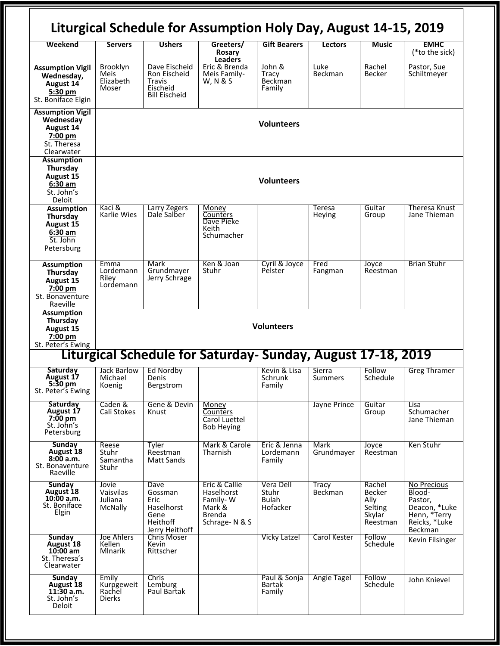|                                                                                           |                                                |                                                                             | Liturgical Schedule for Assumption Holy Day, August 14-15, 2019                     |                                                |                                |                                                                  |                                                                                               |
|-------------------------------------------------------------------------------------------|------------------------------------------------|-----------------------------------------------------------------------------|-------------------------------------------------------------------------------------|------------------------------------------------|--------------------------------|------------------------------------------------------------------|-----------------------------------------------------------------------------------------------|
| Weekend                                                                                   | <b>Servers</b>                                 | <b>Ushers</b>                                                               | Greeters/<br>Rosary<br><b>Leaders</b>                                               | <b>Gift Bearers</b>                            | Lectors                        | Music                                                            | <b>EMHC</b><br>(*to the sick)                                                                 |
| <b>Assumption Vigil</b><br>Wednesday,<br>August 14<br>5:30 pm<br>St. Boniface Elgin       | Brooklyn<br>Meis<br>Elizabeth<br>Moser         | Dave Eischeid<br>Ron Eischeid<br>Travis<br>Eischeid<br><b>Bill Eischeid</b> | Eric & Brenda<br>Meis Family-<br>W, N & S                                           | John &<br>Tracy<br>Beckman<br>Family           | Luke<br><b>Beckman</b>         | Rachel<br><b>Becker</b>                                          | Pastor, Sue<br>Schiltmeyer                                                                    |
| <b>Assumption Vigil</b><br>Wednesday<br>August 14<br>7:00 pm<br>St. Theresa<br>Clearwater | <b>Volunteers</b>                              |                                                                             |                                                                                     |                                                |                                |                                                                  |                                                                                               |
| <b>Assumption</b><br>Thursday<br>August 15<br>$6:30$ am<br>St. John's<br>Deloit           | <b>Volunteers</b>                              |                                                                             |                                                                                     |                                                |                                |                                                                  |                                                                                               |
| <b>Assumption</b><br>Thursday<br>August 15<br>$6:30$ am<br>St. John<br>Petersburg         | Kaci &<br>Karlie Wies                          | Larry Zegers<br>Dale Salber                                                 | Money<br>Counters<br>Dave Pieke<br>Keith<br>Schumacher                              |                                                | Teresa<br>Heying               | Guitar<br>Group                                                  | Theresa Knust<br>Jane Thieman                                                                 |
| <b>Assumption</b><br>Thursday<br>August 15<br>7:00 pm<br>St. Bonaventure<br>Raeville      | Emma<br>Lordemann<br>Riley<br>Lordemann        | Mark<br>Grundmayer<br>Jerry Schrage                                         | Ken & Joan<br>Stuhr                                                                 | Cyril & Joyce<br>Pelster                       | Fred<br>Fangman                | Joyce<br>Reestman                                                | <b>Brian Stuhr</b>                                                                            |
| <b>Assumption</b><br>Thursday<br><b>August 15</b><br>7:00 pm<br>St. Peter's Ewing         | <b>Volunteers</b>                              |                                                                             |                                                                                     |                                                |                                |                                                                  |                                                                                               |
|                                                                                           |                                                |                                                                             | Liturgical Schedule for Saturday- Sunday, August 17-18, 2019                        |                                                |                                |                                                                  |                                                                                               |
| Saturday<br><b>August 17</b><br>$5:30$ pm<br>St. Peter's Ewing                            | Jack Barlow<br>Michael<br>Koenig               | Ed Nordby<br>Denis<br>Bergstrom                                             |                                                                                     | Kevin & Lisa<br>Schrunk<br>Family              | Sierra<br>Summers              | Follow<br>Schedule                                               | <b>Greg Thramer</b>                                                                           |
| <b>Saturday</b><br>August 17<br><b>7:00 pm</b><br>St. John's<br>Petersburg                | Caden &<br>Cali Stokes                         | Gene & Devin<br>Knust                                                       | Money<br>Counters<br>Carol Luettel<br><b>Bob Heying</b>                             |                                                | Jayne Prince                   | Guitar<br>Group                                                  | Lisa<br>Schumacher<br>Jane Thieman                                                            |
| Sunday<br>August 18<br>8:00a.m.<br>St. Bonaventure<br>Raeville                            | Reese<br>Stuhr<br>Samantha<br>Stuhr            | Tyler<br>Reestman<br><b>Matt Sands</b>                                      | Mark & Carole<br>Tharnish                                                           | Eric & Jenna<br>Lordemann<br>Family            | <b>Mark</b><br>Grundmayer      | Joyce<br>Reestman                                                | Ken Stuhr                                                                                     |
| <b>Sunday</b><br>August 18<br>10:00 a.m.<br>St. Boniface<br>Elgin                         | Jovie<br>Vaisvilas<br>Juliana<br>McNally       | Dave<br>Gossman<br>Eric<br>Haselhorst<br>Gene<br>Heithoff<br>Jerry Heithoff | Eric & Callie<br>Haselhorst<br>Family-W<br>Mark &<br><b>Brenda</b><br>Schrage-N & S | Vera Dell<br>Stuhr<br><b>Bulah</b><br>Hofacker | <b>Tracy</b><br><b>Beckman</b> | Rachel<br><b>Becker</b><br>Ally<br>Selting<br>Skylar<br>Reestman | No Precious<br>Blood-<br>Pastor,<br>Deacon, *Luke<br>Henn, *Terry<br>Reicks, *Luke<br>Beckman |
| <b>Sunday</b><br>August 18<br>$10:00$ am<br>St. Theresa's<br>Clearwater                   | Joe Ahlers<br>Kellen<br><b>Mlnarik</b>         | <b>Chris Moser</b><br>Kevin<br>Rittscher                                    |                                                                                     | <b>Vicky Latzel</b>                            | Carol Kester                   | Follow<br>Schedule                                               | Kevin Filsinger                                                                               |
| <b>Sunday</b><br>August 18<br>11:30 a.m.<br>St. John's<br>Deloit                          | Emily<br>Kurpgeweit<br>Rachel<br><b>Dierks</b> | <b>Chris</b><br>Lemburg<br>Paul Bartak                                      |                                                                                     | Paul & Sonja<br><b>Bartak</b><br>Family        | <b>Angie Tagel</b>             | Follow<br>Schedule                                               | John Knievel                                                                                  |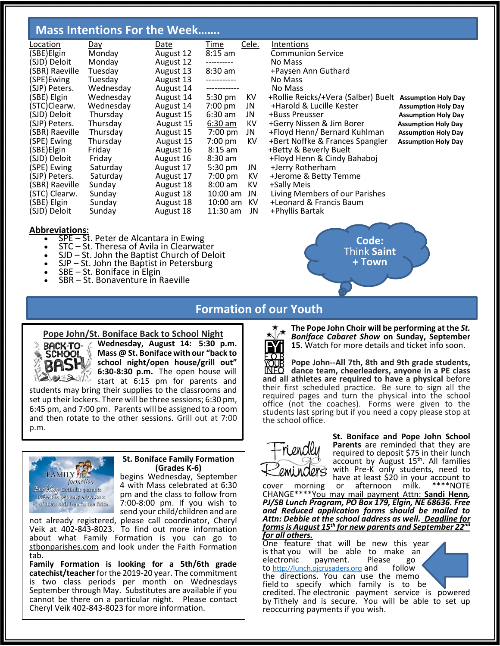### **Mass Intentions For the Week…….**

| Location       | <u>Day</u> | Date      | T <u>ime</u>  | Cele. | <b>Intentions</b>                   |                            |
|----------------|------------|-----------|---------------|-------|-------------------------------------|----------------------------|
| (SBE)Elgin     | Monday     | August 12 | $8:15$ am     |       | <b>Communion Service</b>            |                            |
| (SJD) Deloit   | Monday     | August 12 |               |       | No Mass                             |                            |
| (SBR) Raeville | Tuesday    | August 13 | $8:30$ am     |       | +Paysen Ann Guthard                 |                            |
| (SPE)Ewing     | Tuesday    | August 13 | ------------  |       | No Mass                             |                            |
| (SJP) Peters.  | Wednesday  | August 14 | ------------- |       | No Mass                             |                            |
| (SBE) Elgin    | Wednesday  | August 14 | 5:30 pm       | KV    | +Rollie Reicks/+Vera (Salber) Buelt | <b>Assumption Holy Day</b> |
| (STC)Clearw.   | Wednesday  | August 14 | $7:00$ pm     | JN    | +Harold & Lucille Kester            | <b>Assumption Holy Day</b> |
| (SJD) Deloit   | Thursday   | August 15 | $6:30$ am     | JN    | +Buss Preusser                      | <b>Assumption Holy Day</b> |
| (SJP) Peters.  | Thursday   | August 15 | $6:30$ am     | KV    | +Gerry Nissen & Jim Borer           | <b>Assumption Holy Day</b> |
| (SBR) Raeville | Thursday   | August 15 | 7:00 pm       | JN    | +Floyd Henn/ Bernard Kuhlman        | <b>Assumption Holy Day</b> |
| (SPE) Ewing    | Thursday   | August 15 | $7:00$ pm     | KV    | +Bert Noffke & Frances Spangler     | <b>Assumption Holy Day</b> |
| (SBE)Elgin     | Friday     | August 16 | $8:15$ am     |       | +Betty & Beverly Buelt              |                            |
| (SJD) Deloit   | Friday     | August 16 | $8:30$ am     |       | +Floyd Henn & Cindy Bahaboj         |                            |
| (SPE) Ewing    | Saturday   | August 17 | 5:30 pm       | JN    | +Jerry Rotherham                    |                            |
| (SJP) Peters.  | Saturday   | August 17 | $7:00$ pm     | KV.   | +Jerome & Betty Temme               |                            |
| (SBR) Raeville | Sunday     | August 18 | $8:00$ am     | KV.   | +Sally Meis                         |                            |
| (STC) Clearw.  | Sunday     | August 18 | $10:00$ am    | JN    | Living Members of our Parishes      |                            |
| (SBE) Elgin    | Sunday     | August 18 | $10:00$ am    | KV.   | +Leonard & Francis Baum             |                            |
| (SJD) Deloit   | Sunday     | August 18 | $11:30$ am    | JN    | +Phyllis Bartak                     |                            |
|                |            |           |               |       |                                     |                            |

#### **Abbreviations:**

ī

- $SPE St.$  Peter de Alcantara in Ewing
- STC St. Theresa of Avila in Clearwater
- $SD St.$  John the Baptist Church of Deloit
- $SJP St.$  John the Baptist in Petersburg
- $SBE St.$  Boniface in Elgin
- SBR St. Bonaventure in Raeville



### **Formation of our Youth**

#### **Pope John/St. Boniface Back to School Night**



**Wednesday, August 14: 5:30 p.m. Mass @ St. Boniface with our "back to school night/open house/grill out" 6:30-8:30 p.m.** The open house will start at 6:15 pm for parents and

students may bring their supplies to the classrooms and set up their lockers. There will be three sessions; 6:30 pm, 6:45 pm, and 7:00 pm. Parents will be assigned to a room and then rotate to the other sessions. Grill out at 7:00 p.m.



#### **St. Boniface Family Formation (Grades K-6)**

begins Wednesday, September 4 with Mass celebrated at 6:30 pm and the class to follow from 7:00-8:00 pm. If you wish to send your child/children and are not already registered, please call coordinator, Cheryl

Veik at 402-843-8023. To find out more information about what Family Formation is you can go to stbonparishes.com and look under the Faith Formation tab.

**Family Formation is looking for a 5th/6th grade catechist/teacher** for the 2019-20 year. The commitment is two class periods per month on Wednesdays September through May. Substitutes are available if you cannot be there on a particular night. Please contact Cheryl Veik 402-843-8023 for more information.



**The Pope John Choir will be performing at the** *St. Boniface Cabaret Show* **on Sunday, September 15.** Watch for more details and ticket info soon.

**Pope John--All 7th, 8th and 9th grade students, dance team, cheerleaders, anyone in a PE class and all athletes are required to have a physical** before their first scheduled practice. Be sure to sign all the required pages and turn the physical into the school office (not the coaches). Forms were given to the students last spring but if you need a copy please stop at the school office.



**St. Boniface and Pope John School Parents** are reminded that they are required to deposit \$75 in their lunch account by August 15<sup>th</sup>. All families with Pre-K only students, need to have at least \$20 in your account to<br>or afternoon milk. \*\*\*\*NOTE

cover morning or afternoon CHANGE\*\*\*\*You may mail payment Attn: **Sandi Henn***, PJ/SB Lunch Program, PO Box 179, Elgin, NE 68636. Free and Reduced application forms should be mailed to Attn: Debbie at the school address as well. Deadline for forms is August 15th for new parents and September 22nd for all others.* 

One feature that will be new this year is that you will be able to make an<br>electronic payment. Please go payment. Please go<br>picrusaders.org.and follow to [http://lunch.pjcrusaders.org](https://lunch.pjcrusaders.org/) and the directions. You can use the memo field to specify which family is to be credited. The electronic payment service is powered by Tithely and is secure. You will be able to set up reoccurring payments if you wish.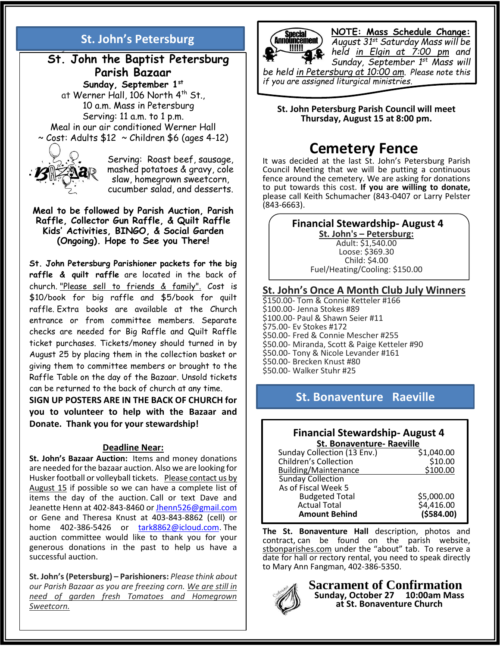#### *~St. Boniface/St. Bonaventure Vocation Committee* **St. John's Petersburg**

### **St. John the Baptist Petersburg Parish Bazaar Sunday, September 1st**

at Werner Hall, 106 North 4<sup>th</sup> St., 10 a.m. Mass in Petersburg Serving: 11 a.m. to 1 p.m. Meal in our air conditioned Werner Hall  $\sim$  Cost: Adults \$12  $\sim$  Children \$6 (ages 4-12)



Serving: Roast beef, sausage, mashed potatoes & gravy, cole slaw, homegrown sweetcorn, cucumber salad, and desserts.

#### **Meal to be followed by Parish Auction, Parish Raffle, Collector Gun Raffle, & Quilt Raffle Kids' Activities, BINGO, & Social Garden (Ongoing). Hope to See you There!**

**St. John Petersburg Parishioner packets for the big raffle & quilt raffle** are located in the back of church. "Please sell to friends & family". Cost is \$10/book for big raffle and \$5/book for quilt raffle. Extra books are available at the Church entrance or from committee members. Separate checks are needed for Big Raffle and Quilt Raffle ticket purchases. Tickets/money should turned in by August 25 by placing them in the collection basket or giving them to committee members or brought to the Raffle Table on the day of the Bazaar. Unsold tickets can be returned to the back of church at any time.

**SIGN UP POSTERS ARE IN THE BACK OF CHURCH for you to volunteer to help with the Bazaar and Donate. Thank you for your stewardship!**

#### **Deadline Near:**

**St. John's Bazaar Auction:** Items and money donations are needed for the bazaar auction. Also we are looking for Husker football or volleyball tickets. Please contact us by August 15 if possible so we can have a complete list of items the day of the auction. Call or text Dave and Jeanette Henn at 402-843-8460 or [Jhenn526@gmail.com](mailto:Jhenn526@gmail.com) or Gene and Theresa Knust at 403-843-8862 (cell) or home 402-386-5426 or [tark8862@icloud.com.](mailto:tark8862@icloud.com) The auction committee would like to thank you for your generous donations in the past to help us have a successful auction.

**St. John's (Petersburg) – Parishioners:** *Please think about our Parish Bazaar as you are freezing corn. We are still in need of garden fresh Tomatoes and Homegrown Sweetcorn.*



I

**NOTE: Mass Schedule Change:** *August 31st Saturday Mass will be* 

*held in Elgin at 7:00 pm and Sunday, September 1st Mass will* 

*be held in Petersburg at 10:00 am. Please note this if you are assigned liturgical ministries.*

**St. John Petersburg Parish Council will meet Thursday, August 15 at 8:00 pm.**

## **Cemetery Fence**

It was decided at the last St. John's Petersburg Parish Council Meeting that we will be putting a continuous fence around the cemetery. We are asking for donations to put towards this cost. **If you are willing to donate,** please call Keith Schumacher (843-0407 or Larry Pelster (843-6663).

### **Financial Stewardship- August 4**

**St. John's – Petersburg:** Adult: \$1,540.00 Loose: \$369.30 Child: \$4.00 Fuel/Heating/Cooling: \$150.00

### **St. John's Once A Month Club July Winners**

\$150.00- Tom & Connie Ketteler #166 \$100.00- Jenna Stokes #89 \$100.00- Paul & Shawn Seier #11 \$75.00- Ev Stokes #172 \$50.00- Fred & Connie Mescher #255 \$50.00- Miranda, Scott & Paige Ketteler #90 \$50.00- Tony & Nicole Levander #161 \$50.00- Brecken Knust #80 \$50.00- Walker Stuhr #25

### **St. Bonaventure Raeville**

### **Financial Stewardship- August 4 St. Bonaventure- Raeville**

| Sunday Collection (13 Env.)  | \$1,040.00 |
|------------------------------|------------|
| <b>Children's Collection</b> | \$10.00    |
| Building/Maintenance         | \$100.00   |
| <b>Sunday Collection</b>     |            |
| As of Fiscal Week 5          |            |
| <b>Budgeted Total</b>        | \$5,000.00 |
| <b>Actual Total</b>          | \$4,416.00 |
| <b>Amount Behind</b>         | (5584.00)  |
|                              |            |

**The St. Bonaventure Hall** description, photos and contract, can be found on the parish website, stbonparishes.com under the "about" tab. To reserve a date for hall or rectory rental, you need to speak directly to Mary Ann Fangman, 402-386-5350.



**Sacrament of Confirmation Sunday, October 27 10:00am Mass at St. Bonaventure Church**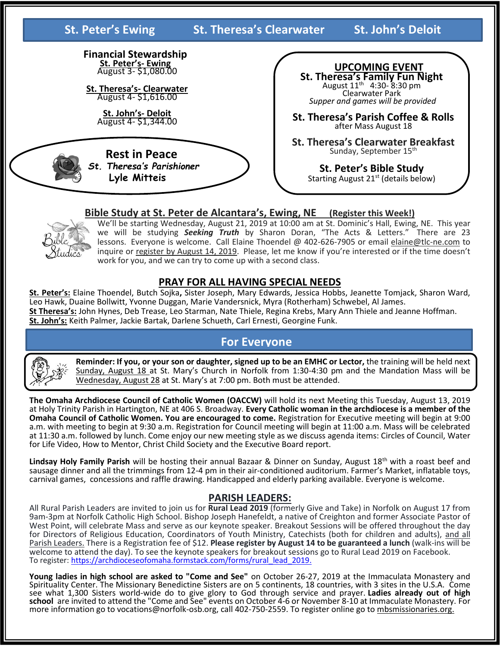**St. Peter's Ewing St. Theresa's Clearwater St. John's Deloit** 

**Financial Stewardship St. Peter's- Ewing** August 3- \$1,080.00

**St. Theresa's- Clearwater** August 4- \$1,616.00

> **St. John's- Deloit** August 4- \$1,344.00

 **Rest in Peace** *St. Theresa's Parishioner*   **Lyle Mitteis**

 **UPCOMING EVENT St. Theresa's Family Fun Night** August 11th 4:30- 8:30 pm Clearwater Park *Supper and games will be provided*

**St. Theresa's Parish Coffee & Rolls** after Mass August 18

**St. Theresa's Clearwater Breakfast** Sunday, September 15<sup>th</sup>

**St. Peter's Bible Study** Starting August 21<sup>st</sup> (details below)

### **Bible Study at St. Peter de Alcantara's, Ewing, NE (Register this Week!)**



We'll be starting Wednesday, August 21, 2019 at 10:00 am at St. Dominic's Hall, Ewing, NE. This year we will be studying **Seeking Truth** by Sharon Doran, "The Acts & Letters." There are 23 lessons. Everyone is welcome. Call Elaine Thoendel @ 402-626-7905 or email elaine@tlc-ne.com to inquire or register by August 14, 2019. Please, let me know if you're interested or if the time doesn't work for you, and we can try to come up with a second class.

### **PRAY FOR ALL HAVING SPECIAL NEEDS**

**St. Peter's:** Elaine Thoendel, Butch Sojka**,** Sister Joseph, Mary Edwards, Jessica Hobbs, Jeanette Tomjack, Sharon Ward, Leo Hawk, Duaine Bollwitt, Yvonne Duggan, Marie Vandersnick, Myra (Rotherham) Schwebel, Al James. **St Theresa's:** John Hynes, Deb Trease, Leo Starman, Nate Thiele, Regina Krebs, Mary Ann Thiele and Jeanne Hoffman. **St. John's:** Keith Palmer, Jackie Bartak, Darlene Schueth, Carl Ernesti, Georgine Funk.

### **For Everyone**



**Reminder: If you, or your son or daughter, signed up to be an EMHC or Lector,** the training will be held next Sunday, August 18 at St. Mary's Church in Norfolk from 1:30-4:30 pm and the Mandation Mass will be Wednesday, August 28 at St. Mary's at 7:00 pm. Both must be attended.

**The Omaha Archdiocese Council of Catholic Women (OACCW)** will hold its next Meeting this Tuesday, August 13, 2019 at Holy Trinity Parish in Hartington, NE at 406 S. Broadway. **Every Catholic woman in the archdiocese is a member of the Omaha Council of Catholic Women. You are encouraged to come.** Registration for Executive meeting will begin at 9:00 a.m. with meeting to begin at 9:30 a.m. Registration for Council meeting will begin at 11:00 a.m. Mass will be celebrated at 11:30 a.m. followed by lunch. Come enjoy our new meeting style as we discuss agenda items: Circles of Council, Water for Life Video, How to Mentor, Christ Child Society and the Executive Board report.

Lindsay Holy Family Parish will be hosting their annual Bazaar & Dinner on Sunday, August 18<sup>th</sup> with a roast beef and sausage dinner and all the trimmings from 12-4 pm in their air-conditioned auditorium. Farmer's Market, inflatable toys, carnival games, concessions and raffle drawing. Handicapped and elderly parking available. Everyone is welcome.

### **PARISH LEADERS:**

All Rural Parish Leaders are invited to join us for **Rural Lead 2019** (formerly Give and Take) in Norfolk on August 17 from 9am-3pm at Norfolk Catholic High School. Bishop Joseph Hanefeldt, a native of Creighton and former Associate Pastor of West Point, will celebrate Mass and serve as our keynote speaker. Breakout Sessions will be offered throughout the day for Directors of Religious Education, Coordinators of Youth Ministry, Catechists (both for children and adults), and all Parish Leaders. There is a Registration fee of \$12. **Please register by August 14 to be guaranteed a lunch** (walk-ins will be welcome to attend the day). To see the keynote speakers for breakout sessions go to Rural Lead 2019 on Facebook. To register: [https://archdioceseofomaha.formstack.com/forms/rural\\_lead\\_2019.](https://archdioceseofomaha.formstack.com/forms/rural_lead_2019)

**Young ladies in high school are asked to "Come and See"** on October 26-27, 2019 at the Immaculata Monastery and Spirituality Center. The Missionary Benedictine Sisters are on 5 continents, 18 countries, with 3 sites in the U.S.A. Come see what 1,300 Sisters world-wide do to give glory to God through service and prayer. **Ladies already out of high school** are invited to attend the "Come and See" events on October 4-6 or November 8-10 at Immaculate Monastery. For more information go to vocations@norfolk-osb.org, call 402-750-2559. To register online go to mbsmissionaries.org.